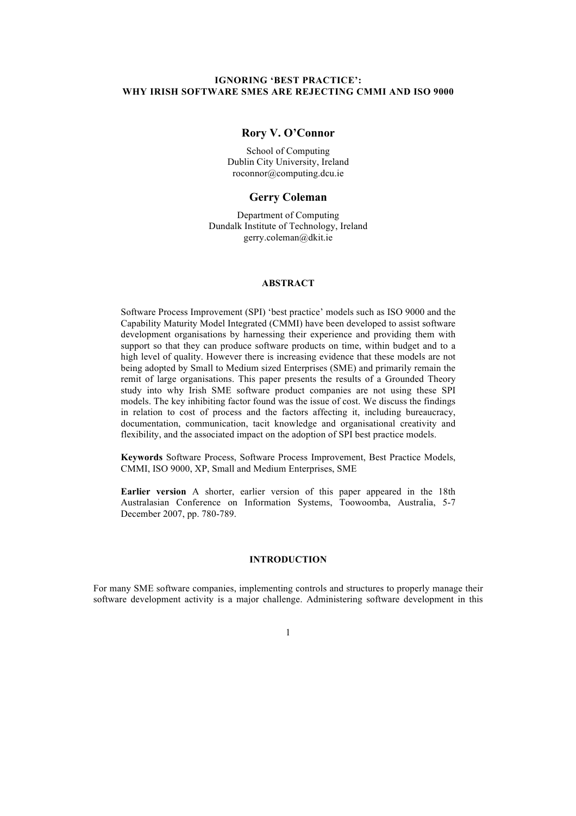# **IGNORING 'BEST PRACTICE': WHY IRISH SOFTWARE SMES ARE REJECTING CMMI AND ISO 9000**

### **Rory V. O'Connor**

School of Computing Dublin City University, Ireland roconnor@computing.dcu.ie

# **Gerry Coleman**

Department of Computing Dundalk Institute of Technology, Ireland gerry.coleman@dkit.ie

### **ABSTRACT**

Software Process Improvement (SPI) 'best practice' models such as ISO 9000 and the Capability Maturity Model Integrated (CMMI) have been developed to assist software development organisations by harnessing their experience and providing them with support so that they can produce software products on time, within budget and to a high level of quality. However there is increasing evidence that these models are not being adopted by Small to Medium sized Enterprises (SME) and primarily remain the remit of large organisations. This paper presents the results of a Grounded Theory study into why Irish SME software product companies are not using these SPI models. The key inhibiting factor found was the issue of cost. We discuss the findings in relation to cost of process and the factors affecting it, including bureaucracy, documentation, communication, tacit knowledge and organisational creativity and flexibility, and the associated impact on the adoption of SPI best practice models.

**Keywords** Software Process, Software Process Improvement, Best Practice Models, CMMI, ISO 9000, XP, Small and Medium Enterprises, SME

**Earlier version** A shorter, earlier version of this paper appeared in the 18th Australasian Conference on Information Systems, Toowoomba, Australia, 5-7 December 2007, pp. 780-789.

### **INTRODUCTION**

For many SME software companies, implementing controls and structures to properly manage their software development activity is a major challenge. Administering software development in this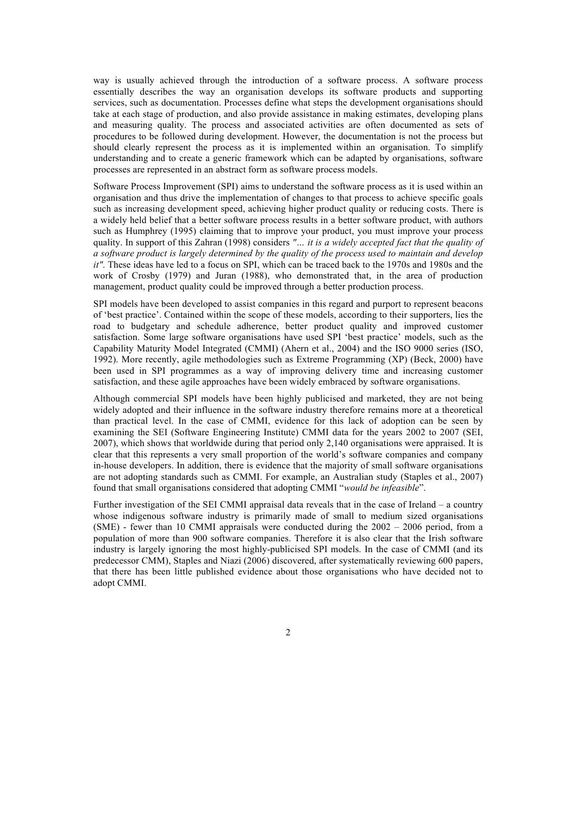way is usually achieved through the introduction of a software process. A software process essentially describes the way an organisation develops its software products and supporting services, such as documentation. Processes define what steps the development organisations should take at each stage of production, and also provide assistance in making estimates, developing plans and measuring quality. The process and associated activities are often documented as sets of procedures to be followed during development. However, the documentation is not the process but should clearly represent the process as it is implemented within an organisation. To simplify understanding and to create a generic framework which can be adapted by organisations, software processes are represented in an abstract form as software process models.

Software Process Improvement (SPI) aims to understand the software process as it is used within an organisation and thus drive the implementation of changes to that process to achieve specific goals such as increasing development speed, achieving higher product quality or reducing costs. There is a widely held belief that a better software process results in a better software product, with authors such as Humphrey (1995) claiming that to improve your product, you must improve your process quality. In support of this Zahran (1998) considers *"… it is a widely accepted fact that the quality of a software product is largely determined by the quality of the process used to maintain and develop it"*. These ideas have led to a focus on SPI, which can be traced back to the 1970s and 1980s and the work of Crosby (1979) and Juran (1988), who demonstrated that, in the area of production management, product quality could be improved through a better production process.

SPI models have been developed to assist companies in this regard and purport to represent beacons of 'best practice'. Contained within the scope of these models, according to their supporters, lies the road to budgetary and schedule adherence, better product quality and improved customer satisfaction. Some large software organisations have used SPI 'best practice' models, such as the Capability Maturity Model Integrated (CMMI) (Ahern et al., 2004) and the ISO 9000 series (ISO, 1992). More recently, agile methodologies such as Extreme Programming (XP) (Beck, 2000) have been used in SPI programmes as a way of improving delivery time and increasing customer satisfaction, and these agile approaches have been widely embraced by software organisations.

Although commercial SPI models have been highly publicised and marketed, they are not being widely adopted and their influence in the software industry therefore remains more at a theoretical than practical level. In the case of CMMI, evidence for this lack of adoption can be seen by examining the SEI (Software Engineering Institute) CMMI data for the years 2002 to 2007 (SEI, 2007), which shows that worldwide during that period only 2,140 organisations were appraised. It is clear that this represents a very small proportion of the world's software companies and company in-house developers. In addition, there is evidence that the majority of small software organisations are not adopting standards such as CMMI. For example, an Australian study (Staples et al., 2007) found that small organisations considered that adopting CMMI "*would be infeasible*".

Further investigation of the SEI CMMI appraisal data reveals that in the case of Ireland – a country whose indigenous software industry is primarily made of small to medium sized organisations (SME) - fewer than 10 CMMI appraisals were conducted during the 2002 – 2006 period, from a population of more than 900 software companies. Therefore it is also clear that the Irish software industry is largely ignoring the most highly-publicised SPI models. In the case of CMMI (and its predecessor CMM), Staples and Niazi (2006) discovered, after systematically reviewing 600 papers, that there has been little published evidence about those organisations who have decided not to adopt CMMI.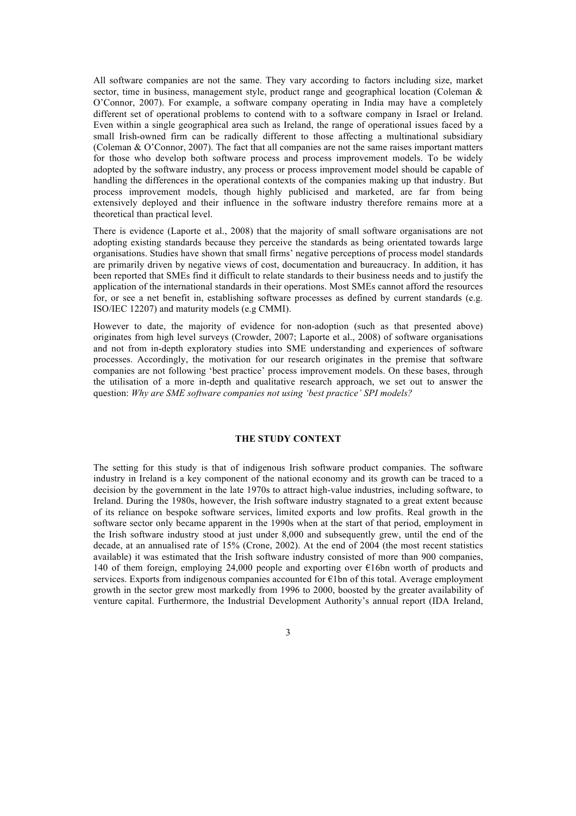All software companies are not the same. They vary according to factors including size, market sector, time in business, management style, product range and geographical location (Coleman & O'Connor, 2007). For example, a software company operating in India may have a completely different set of operational problems to contend with to a software company in Israel or Ireland. Even within a single geographical area such as Ireland, the range of operational issues faced by a small Irish-owned firm can be radically different to those affecting a multinational subsidiary (Coleman & O'Connor, 2007). The fact that all companies are not the same raises important matters for those who develop both software process and process improvement models. To be widely adopted by the software industry, any process or process improvement model should be capable of handling the differences in the operational contexts of the companies making up that industry. But process improvement models, though highly publicised and marketed, are far from being extensively deployed and their influence in the software industry therefore remains more at a theoretical than practical level.

There is evidence (Laporte et al., 2008) that the majority of small software organisations are not adopting existing standards because they perceive the standards as being orientated towards large organisations. Studies have shown that small firms' negative perceptions of process model standards are primarily driven by negative views of cost, documentation and bureaucracy. In addition, it has been reported that SMEs find it difficult to relate standards to their business needs and to justify the application of the international standards in their operations. Most SMEs cannot afford the resources for, or see a net benefit in, establishing software processes as defined by current standards (e.g. ISO/IEC 12207) and maturity models (e.g CMMI).

However to date, the majority of evidence for non-adoption (such as that presented above) originates from high level surveys (Crowder, 2007; Laporte et al., 2008) of software organisations and not from in-depth exploratory studies into SME understanding and experiences of software processes. Accordingly, the motivation for our research originates in the premise that software companies are not following 'best practice' process improvement models. On these bases, through the utilisation of a more in-depth and qualitative research approach, we set out to answer the question: *Why are SME software companies not using 'best practice' SPI models?*

# **THE STUDY CONTEXT**

The setting for this study is that of indigenous Irish software product companies. The software industry in Ireland is a key component of the national economy and its growth can be traced to a decision by the government in the late 1970s to attract high-value industries, including software, to Ireland. During the 1980s, however, the Irish software industry stagnated to a great extent because of its reliance on bespoke software services, limited exports and low profits. Real growth in the software sector only became apparent in the 1990s when at the start of that period, employment in the Irish software industry stood at just under 8,000 and subsequently grew, until the end of the decade, at an annualised rate of 15% (Crone, 2002). At the end of 2004 (the most recent statistics available) it was estimated that the Irish software industry consisted of more than 900 companies, 140 of them foreign, employing 24,000 people and exporting over €16bn worth of products and services. Exports from indigenous companies accounted for  $E1bn$  of this total. Average employment growth in the sector grew most markedly from 1996 to 2000, boosted by the greater availability of venture capital. Furthermore, the Industrial Development Authority's annual report (IDA Ireland,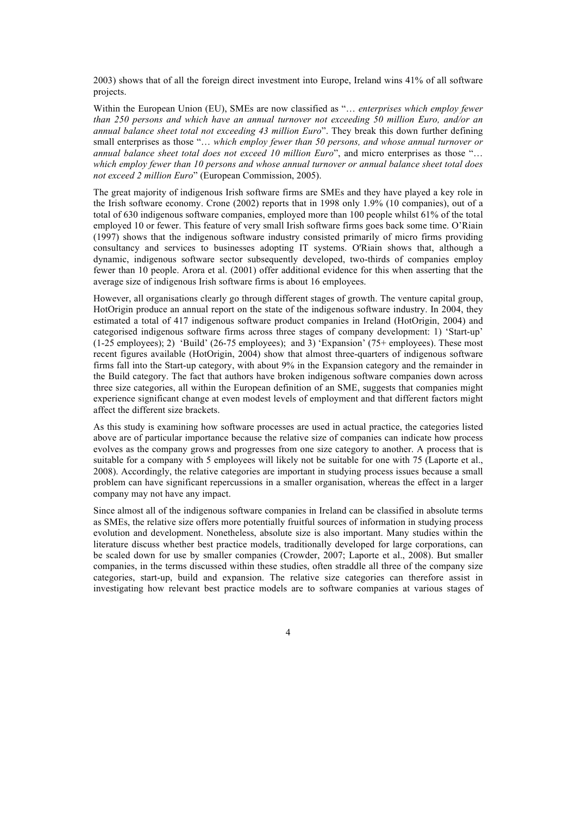2003) shows that of all the foreign direct investment into Europe, Ireland wins 41% of all software projects.

Within the European Union (EU), SMEs are now classified as "… *enterprises which employ fewer than 250 persons and which have an annual turnover not exceeding 50 million Euro, and/or an annual balance sheet total not exceeding 43 million Euro*". They break this down further defining small enterprises as those "… *which employ fewer than 50 persons, and whose annual turnover or annual balance sheet total does not exceed 10 million Euro*", and micro enterprises as those "… *which employ fewer than 10 persons and whose annual turnover or annual balance sheet total does not exceed 2 million Euro*" (European Commission, 2005).

The great majority of indigenous Irish software firms are SMEs and they have played a key role in the Irish software economy. Crone (2002) reports that in 1998 only 1.9% (10 companies), out of a total of 630 indigenous software companies, employed more than 100 people whilst 61% of the total employed 10 or fewer. This feature of very small Irish software firms goes back some time. O'Riain (1997) shows that the indigenous software industry consisted primarily of micro firms providing consultancy and services to businesses adopting IT systems. O'Riain shows that, although a dynamic, indigenous software sector subsequently developed, two-thirds of companies employ fewer than 10 people. Arora et al. (2001) offer additional evidence for this when asserting that the average size of indigenous Irish software firms is about 16 employees.

However, all organisations clearly go through different stages of growth. The venture capital group, HotOrigin produce an annual report on the state of the indigenous software industry. In 2004, they estimated a total of 417 indigenous software product companies in Ireland (HotOrigin, 2004) and categorised indigenous software firms across three stages of company development: 1) 'Start-up' (1-25 employees); 2) 'Build' (26-75 employees); and 3) 'Expansion' (75+ employees). These most recent figures available (HotOrigin, 2004) show that almost three-quarters of indigenous software firms fall into the Start-up category, with about 9% in the Expansion category and the remainder in the Build category. The fact that authors have broken indigenous software companies down across three size categories, all within the European definition of an SME, suggests that companies might experience significant change at even modest levels of employment and that different factors might affect the different size brackets.

As this study is examining how software processes are used in actual practice, the categories listed above are of particular importance because the relative size of companies can indicate how process evolves as the company grows and progresses from one size category to another. A process that is suitable for a company with 5 employees will likely not be suitable for one with 75 (Laporte et al., 2008). Accordingly, the relative categories are important in studying process issues because a small problem can have significant repercussions in a smaller organisation, whereas the effect in a larger company may not have any impact.

Since almost all of the indigenous software companies in Ireland can be classified in absolute terms as SMEs, the relative size offers more potentially fruitful sources of information in studying process evolution and development. Nonetheless, absolute size is also important. Many studies within the literature discuss whether best practice models, traditionally developed for large corporations, can be scaled down for use by smaller companies (Crowder, 2007; Laporte et al., 2008). But smaller companies, in the terms discussed within these studies, often straddle all three of the company size categories, start-up, build and expansion. The relative size categories can therefore assist in investigating how relevant best practice models are to software companies at various stages of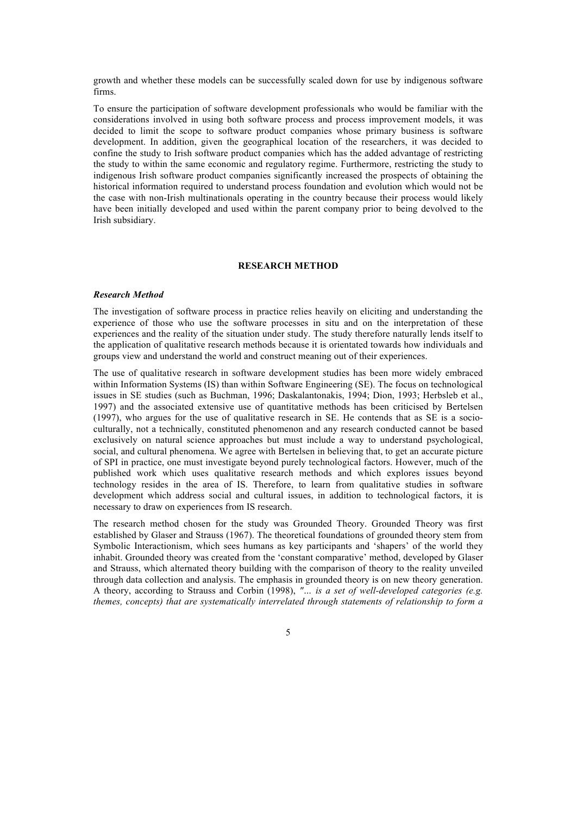growth and whether these models can be successfully scaled down for use by indigenous software firms.

To ensure the participation of software development professionals who would be familiar with the considerations involved in using both software process and process improvement models, it was decided to limit the scope to software product companies whose primary business is software development. In addition, given the geographical location of the researchers, it was decided to confine the study to Irish software product companies which has the added advantage of restricting the study to within the same economic and regulatory regime. Furthermore, restricting the study to indigenous Irish software product companies significantly increased the prospects of obtaining the historical information required to understand process foundation and evolution which would not be the case with non-Irish multinationals operating in the country because their process would likely have been initially developed and used within the parent company prior to being devolved to the Irish subsidiary.

#### **RESEARCH METHOD**

### *Research Method*

The investigation of software process in practice relies heavily on eliciting and understanding the experience of those who use the software processes in situ and on the interpretation of these experiences and the reality of the situation under study. The study therefore naturally lends itself to the application of qualitative research methods because it is orientated towards how individuals and groups view and understand the world and construct meaning out of their experiences.

The use of qualitative research in software development studies has been more widely embraced within Information Systems (IS) than within Software Engineering (SE). The focus on technological issues in SE studies (such as Buchman, 1996; Daskalantonakis, 1994; Dion, 1993; Herbsleb et al., 1997) and the associated extensive use of quantitative methods has been criticised by Bertelsen (1997), who argues for the use of qualitative research in SE. He contends that as SE is a socioculturally, not a technically, constituted phenomenon and any research conducted cannot be based exclusively on natural science approaches but must include a way to understand psychological, social, and cultural phenomena. We agree with Bertelsen in believing that, to get an accurate picture of SPI in practice, one must investigate beyond purely technological factors. However, much of the published work which uses qualitative research methods and which explores issues beyond technology resides in the area of IS. Therefore, to learn from qualitative studies in software development which address social and cultural issues, in addition to technological factors, it is necessary to draw on experiences from IS research.

The research method chosen for the study was Grounded Theory. Grounded Theory was first established by Glaser and Strauss (1967). The theoretical foundations of grounded theory stem from Symbolic Interactionism, which sees humans as key participants and 'shapers' of the world they inhabit. Grounded theory was created from the 'constant comparative' method, developed by Glaser and Strauss, which alternated theory building with the comparison of theory to the reality unveiled through data collection and analysis. The emphasis in grounded theory is on new theory generation. A theory, according to Strauss and Corbin (1998), *"… is a set of well-developed categories (e.g. themes, concepts) that are systematically interrelated through statements of relationship to form a*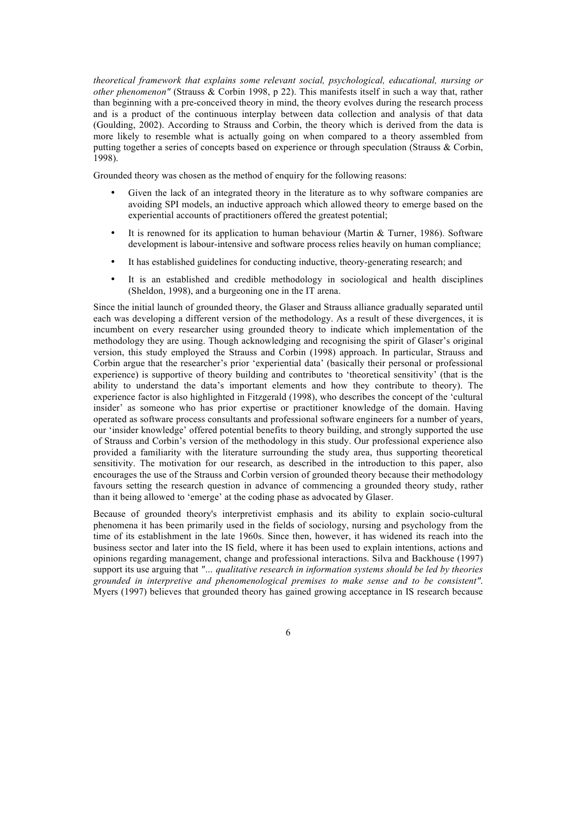*theoretical framework that explains some relevant social, psychological, educational, nursing or other phenomenon"* (Strauss & Corbin 1998, p 22). This manifests itself in such a way that, rather than beginning with a pre-conceived theory in mind, the theory evolves during the research process and is a product of the continuous interplay between data collection and analysis of that data (Goulding, 2002). According to Strauss and Corbin, the theory which is derived from the data is more likely to resemble what is actually going on when compared to a theory assembled from putting together a series of concepts based on experience or through speculation (Strauss & Corbin, 1998).

Grounded theory was chosen as the method of enquiry for the following reasons:

- Given the lack of an integrated theory in the literature as to why software companies are avoiding SPI models, an inductive approach which allowed theory to emerge based on the experiential accounts of practitioners offered the greatest potential;
- It is renowned for its application to human behaviour (Martin  $\&$  Turner, 1986). Software development is labour-intensive and software process relies heavily on human compliance;
- It has established guidelines for conducting inductive, theory-generating research; and
- It is an established and credible methodology in sociological and health disciplines (Sheldon, 1998), and a burgeoning one in the IT arena.

Since the initial launch of grounded theory, the Glaser and Strauss alliance gradually separated until each was developing a different version of the methodology. As a result of these divergences, it is incumbent on every researcher using grounded theory to indicate which implementation of the methodology they are using. Though acknowledging and recognising the spirit of Glaser's original version, this study employed the Strauss and Corbin (1998) approach. In particular, Strauss and Corbin argue that the researcher's prior 'experiential data' (basically their personal or professional experience) is supportive of theory building and contributes to 'theoretical sensitivity' (that is the ability to understand the data's important elements and how they contribute to theory). The experience factor is also highlighted in Fitzgerald (1998), who describes the concept of the 'cultural insider' as someone who has prior expertise or practitioner knowledge of the domain. Having operated as software process consultants and professional software engineers for a number of years, our 'insider knowledge' offered potential benefits to theory building, and strongly supported the use of Strauss and Corbin's version of the methodology in this study. Our professional experience also provided a familiarity with the literature surrounding the study area, thus supporting theoretical sensitivity. The motivation for our research, as described in the introduction to this paper, also encourages the use of the Strauss and Corbin version of grounded theory because their methodology favours setting the research question in advance of commencing a grounded theory study, rather than it being allowed to 'emerge' at the coding phase as advocated by Glaser.

Because of grounded theory's interpretivist emphasis and its ability to explain socio-cultural phenomena it has been primarily used in the fields of sociology, nursing and psychology from the time of its establishment in the late 1960s. Since then, however, it has widened its reach into the business sector and later into the IS field, where it has been used to explain intentions, actions and opinions regarding management, change and professional interactions. Silva and Backhouse (1997) support its use arguing that *"… qualitative research in information systems should be led by theories grounded in interpretive and phenomenological premises to make sense and to be consistent"*. Myers (1997) believes that grounded theory has gained growing acceptance in IS research because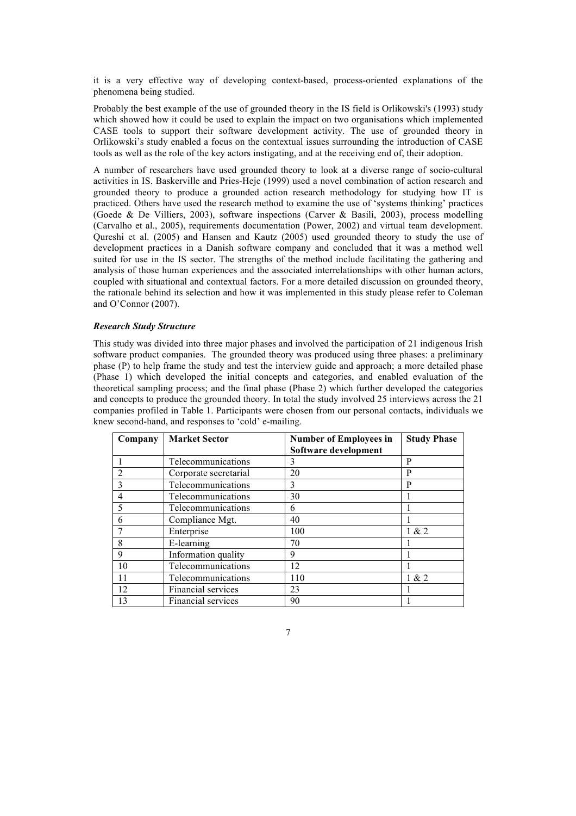it is a very effective way of developing context-based, process-oriented explanations of the phenomena being studied.

Probably the best example of the use of grounded theory in the IS field is Orlikowski's (1993) study which showed how it could be used to explain the impact on two organisations which implemented CASE tools to support their software development activity. The use of grounded theory in Orlikowski's study enabled a focus on the contextual issues surrounding the introduction of CASE tools as well as the role of the key actors instigating, and at the receiving end of, their adoption.

A number of researchers have used grounded theory to look at a diverse range of socio-cultural activities in IS. Baskerville and Pries-Heje (1999) used a novel combination of action research and grounded theory to produce a grounded action research methodology for studying how IT is practiced. Others have used the research method to examine the use of 'systems thinking' practices (Goede & De Villiers, 2003), software inspections (Carver & Basili, 2003), process modelling (Carvalho et al., 2005), requirements documentation (Power, 2002) and virtual team development. Qureshi et al. (2005) and Hansen and Kautz (2005) used grounded theory to study the use of development practices in a Danish software company and concluded that it was a method well suited for use in the IS sector. The strengths of the method include facilitating the gathering and analysis of those human experiences and the associated interrelationships with other human actors, coupled with situational and contextual factors. For a more detailed discussion on grounded theory, the rationale behind its selection and how it was implemented in this study please refer to Coleman and O'Connor (2007).

### *Research Study Structure*

This study was divided into three major phases and involved the participation of 21 indigenous Irish software product companies. The grounded theory was produced using three phases: a preliminary phase (P) to help frame the study and test the interview guide and approach; a more detailed phase (Phase 1) which developed the initial concepts and categories, and enabled evaluation of the theoretical sampling process; and the final phase (Phase 2) which further developed the categories and concepts to produce the grounded theory. In total the study involved 25 interviews across the 21 companies profiled in Table 1. Participants were chosen from our personal contacts, individuals we knew second-hand, and responses to 'cold' e-mailing.

| Company      | <b>Market Sector</b>  | <b>Number of Employees in</b> | <b>Study Phase</b> |
|--------------|-----------------------|-------------------------------|--------------------|
|              |                       | Software development          |                    |
|              | Telecommunications    | 3                             | P                  |
|              | Corporate secretarial | 20                            | P                  |
| $\mathbf{3}$ | Telecommunications    | 3                             | P                  |
| 4            | Telecommunications    | 30                            |                    |
| 5            | Telecommunications    | 6                             |                    |
| 6            | Compliance Mgt.       | 40                            |                    |
|              | Enterprise            | 100                           | 1 & 2              |
| 8            | E-learning            | 70                            |                    |
| 9            | Information quality   | 9                             |                    |
| 10           | Telecommunications    | 12                            |                    |
| 11           | Telecommunications    | 110                           | 1 & 2              |
| 12           | Financial services    | 23                            |                    |
| 13           | Financial services    | 90                            |                    |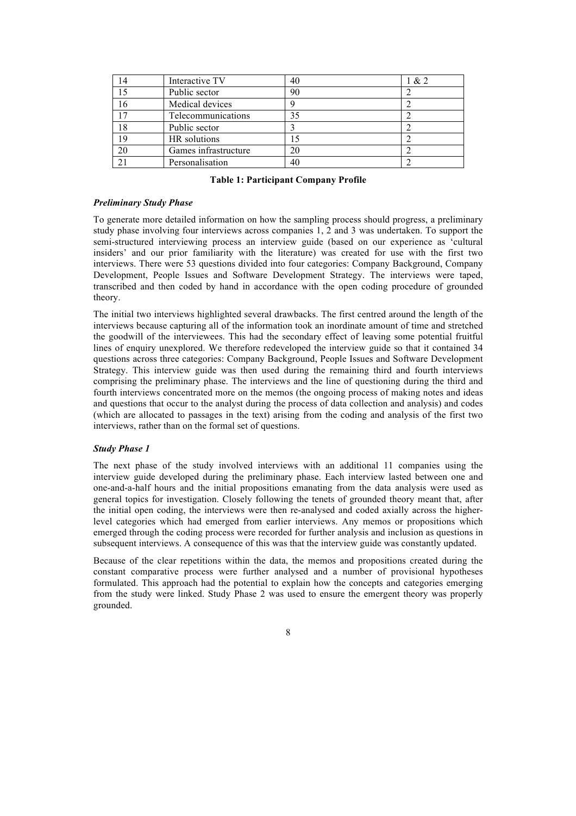| ۱4 | Interactive TV       | 40 | 1 & 2 |
|----|----------------------|----|-------|
| 15 | Public sector        | 90 |       |
| 16 | Medical devices      |    |       |
| 17 | Telecommunications   | 35 |       |
| 18 | Public sector        |    |       |
| 19 | HR solutions         |    |       |
| 20 | Games infrastructure | 20 |       |
| 21 | Personalisation      | 40 |       |

|  | <b>Table 1: Participant Company Profile</b> |  |  |
|--|---------------------------------------------|--|--|
|--|---------------------------------------------|--|--|

### *Preliminary Study Phase*

To generate more detailed information on how the sampling process should progress, a preliminary study phase involving four interviews across companies 1, 2 and 3 was undertaken. To support the semi-structured interviewing process an interview guide (based on our experience as 'cultural insiders' and our prior familiarity with the literature) was created for use with the first two interviews. There were 53 questions divided into four categories: Company Background, Company Development, People Issues and Software Development Strategy. The interviews were taped, transcribed and then coded by hand in accordance with the open coding procedure of grounded theory.

The initial two interviews highlighted several drawbacks. The first centred around the length of the interviews because capturing all of the information took an inordinate amount of time and stretched the goodwill of the interviewees. This had the secondary effect of leaving some potential fruitful lines of enquiry unexplored. We therefore redeveloped the interview guide so that it contained 34 questions across three categories: Company Background, People Issues and Software Development Strategy. This interview guide was then used during the remaining third and fourth interviews comprising the preliminary phase. The interviews and the line of questioning during the third and fourth interviews concentrated more on the memos (the ongoing process of making notes and ideas and questions that occur to the analyst during the process of data collection and analysis) and codes (which are allocated to passages in the text) arising from the coding and analysis of the first two interviews, rather than on the formal set of questions.

#### *Study Phase 1*

The next phase of the study involved interviews with an additional 11 companies using the interview guide developed during the preliminary phase. Each interview lasted between one and one-and-a-half hours and the initial propositions emanating from the data analysis were used as general topics for investigation. Closely following the tenets of grounded theory meant that, after the initial open coding, the interviews were then re-analysed and coded axially across the higherlevel categories which had emerged from earlier interviews. Any memos or propositions which emerged through the coding process were recorded for further analysis and inclusion as questions in subsequent interviews. A consequence of this was that the interview guide was constantly updated.

Because of the clear repetitions within the data, the memos and propositions created during the constant comparative process were further analysed and a number of provisional hypotheses formulated. This approach had the potential to explain how the concepts and categories emerging from the study were linked. Study Phase 2 was used to ensure the emergent theory was properly grounded.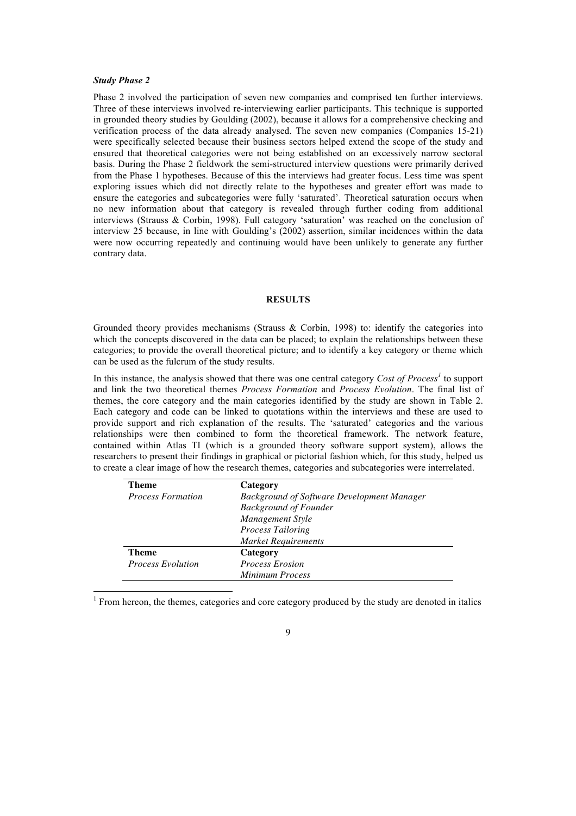#### *Study Phase 2*

Phase 2 involved the participation of seven new companies and comprised ten further interviews. Three of these interviews involved re-interviewing earlier participants. This technique is supported in grounded theory studies by Goulding (2002), because it allows for a comprehensive checking and verification process of the data already analysed. The seven new companies (Companies 15-21) were specifically selected because their business sectors helped extend the scope of the study and ensured that theoretical categories were not being established on an excessively narrow sectoral basis. During the Phase 2 fieldwork the semi-structured interview questions were primarily derived from the Phase 1 hypotheses. Because of this the interviews had greater focus. Less time was spent exploring issues which did not directly relate to the hypotheses and greater effort was made to ensure the categories and subcategories were fully 'saturated'. Theoretical saturation occurs when no new information about that category is revealed through further coding from additional interviews (Strauss & Corbin, 1998). Full category 'saturation' was reached on the conclusion of interview 25 because, in line with Goulding's (2002) assertion, similar incidences within the data were now occurring repeatedly and continuing would have been unlikely to generate any further contrary data.

#### **RESULTS**

Grounded theory provides mechanisms (Strauss & Corbin, 1998) to: identify the categories into which the concepts discovered in the data can be placed; to explain the relationships between these categories; to provide the overall theoretical picture; and to identify a key category or theme which can be used as the fulcrum of the study results.

In this instance, the analysis showed that there was one central category *Cost of Process<sup>1</sup>* to support and link the two theoretical themes *Process Formation* and *Process Evolution*. The final list of themes, the core category and the main categories identified by the study are shown in Table 2. Each category and code can be linked to quotations within the interviews and these are used to provide support and rich explanation of the results. The 'saturated' categories and the various relationships were then combined to form the theoretical framework. The network feature, contained within Atlas TI (which is a grounded theory software support system), allows the researchers to present their findings in graphical or pictorial fashion which, for this study, helped us to create a clear image of how the research themes, categories and subcategories were interrelated.

| Theme                    | Category                                          |
|--------------------------|---------------------------------------------------|
| <b>Process Formation</b> | <b>Background of Software Development Manager</b> |
|                          | <b>Background of Founder</b>                      |
|                          | Management Style                                  |
|                          | <b>Process Tailoring</b>                          |
|                          | <b>Market Requirements</b>                        |
| Theme                    | Category                                          |
| <b>Process Evolution</b> | <b>Process Erosion</b>                            |
|                          | Minimum Process                                   |

<sup>1</sup> From hereon, the themes, categories and core category produced by the study are denoted in italics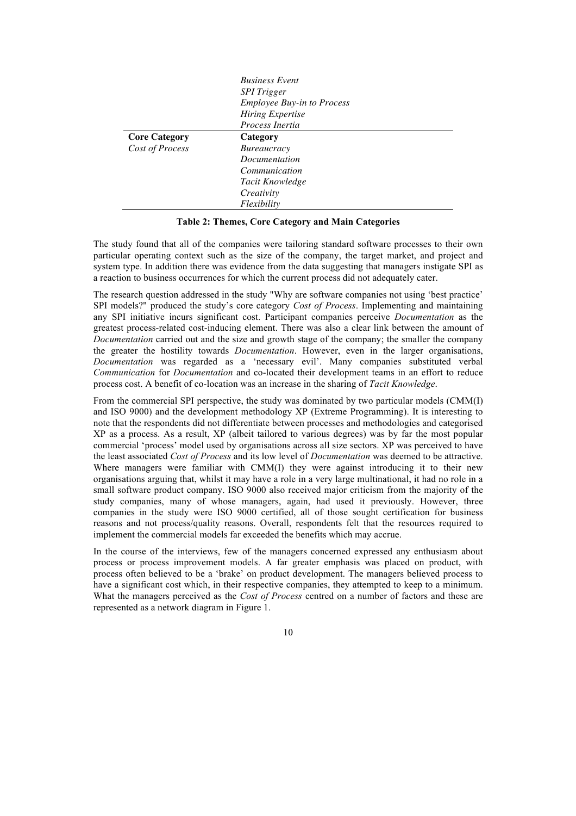|                      | <b>Business Event</b>      |
|----------------------|----------------------------|
|                      | <b>SPI</b> Trigger         |
|                      | Employee Buy-in to Process |
|                      | <b>Hiring Expertise</b>    |
|                      | Process Inertia            |
| <b>Core Category</b> | Category                   |
| Cost of Process      | Bureaucracy                |
|                      | <i>Documentation</i>       |
|                      | Communication              |
|                      | Tacit Knowledge            |
|                      | Creativity                 |
|                      | Flexibility                |

### **Table 2: Themes, Core Category and Main Categories**

The study found that all of the companies were tailoring standard software processes to their own particular operating context such as the size of the company, the target market, and project and system type. In addition there was evidence from the data suggesting that managers instigate SPI as a reaction to business occurrences for which the current process did not adequately cater.

The research question addressed in the study "Why are software companies not using 'best practice' SPI models?" produced the study's core category *Cost of Process*. Implementing and maintaining any SPI initiative incurs significant cost. Participant companies perceive *Documentation* as the greatest process-related cost-inducing element. There was also a clear link between the amount of *Documentation* carried out and the size and growth stage of the company; the smaller the company the greater the hostility towards *Documentation*. However, even in the larger organisations, *Documentation* was regarded as a 'necessary evil'. Many companies substituted verbal *Communication* for *Documentation* and co-located their development teams in an effort to reduce process cost. A benefit of co-location was an increase in the sharing of *Tacit Knowledge*.

From the commercial SPI perspective, the study was dominated by two particular models (CMM(I) and ISO 9000) and the development methodology XP (Extreme Programming). It is interesting to note that the respondents did not differentiate between processes and methodologies and categorised XP as a process. As a result, XP (albeit tailored to various degrees) was by far the most popular commercial 'process' model used by organisations across all size sectors. XP was perceived to have the least associated *Cost of Process* and its low level of *Documentation* was deemed to be attractive. Where managers were familiar with  $CMM(I)$  they were against introducing it to their new organisations arguing that, whilst it may have a role in a very large multinational, it had no role in a small software product company. ISO 9000 also received major criticism from the majority of the study companies, many of whose managers, again, had used it previously. However, three companies in the study were ISO 9000 certified, all of those sought certification for business reasons and not process/quality reasons. Overall, respondents felt that the resources required to implement the commercial models far exceeded the benefits which may accrue.

In the course of the interviews, few of the managers concerned expressed any enthusiasm about process or process improvement models. A far greater emphasis was placed on product, with process often believed to be a 'brake' on product development. The managers believed process to have a significant cost which, in their respective companies, they attempted to keep to a minimum. What the managers perceived as the *Cost of Process* centred on a number of factors and these are represented as a network diagram in Figure 1.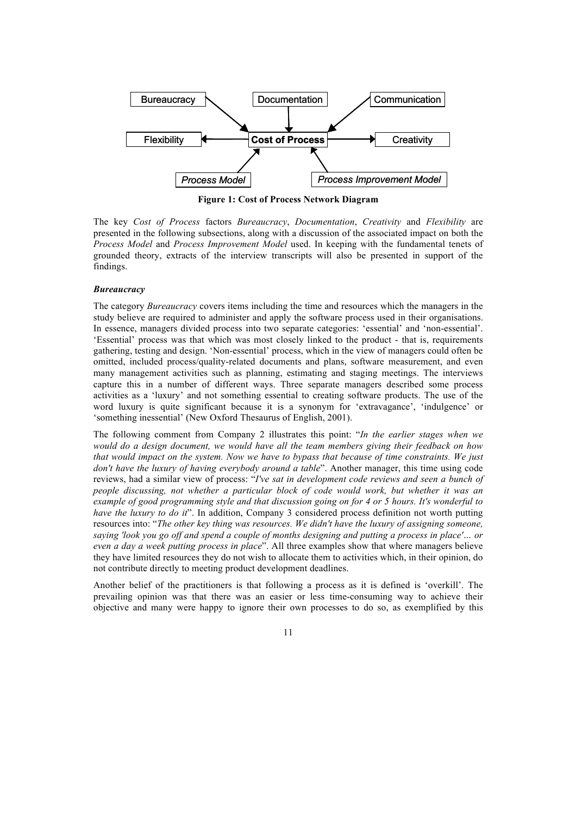

**Figure 1: Cost of Process Network Diagram**

The key *Cost of Process* factors *Bureaucracy*, *Documentation*, *Creativity* and *Flexibility* are presented in the following subsections, along with a discussion of the associated impact on both the *Process Model* and *Process Improvement Model* used. In keeping with the fundamental tenets of grounded theory, extracts of the interview transcripts will also be presented in support of the findings.

### *Bureaucracy*

The category *Bureaucracy* covers items including the time and resources which the managers in the study believe are required to administer and apply the software process used in their organisations. In essence, managers divided process into two separate categories: 'essential' and 'non-essential'. 'Essential' process was that which was most closely linked to the product - that is, requirements gathering, testing and design. 'Non-essential' process, which in the view of managers could often be omitted, included process/quality-related documents and plans, software measurement, and even many management activities such as planning, estimating and staging meetings. The interviews capture this in a number of different ways. Three separate managers described some process activities as a 'luxury' and not something essential to creating software products. The use of the word luxury is quite significant because it is a synonym for 'extravagance', 'indulgence' or 'something inessential' (New Oxford Thesaurus of English, 2001).

The following comment from Company 2 illustrates this point: "*In the earlier stages when we would do a design document, we would have all the team members giving their feedback on how that would impact on the system. Now we have to bypass that because of time constraints. We just don't have the luxury of having everybody around a table*". Another manager, this time using code reviews, had a similar view of process: "*I've sat in development code reviews and seen a bunch of people discussing, not whether a particular block of code would work, but whether it was an example of good programming style and that discussion going on for 4 or 5 hours. It's wonderful to have the luxury to do it*". In addition, Company 3 considered process definition not worth putting resources into: "*The other key thing was resources. We didn't have the luxury of assigning someone, saying 'look you go off and spend a couple of months designing and putting a process in place'… or even a day a week putting process in place*". All three examples show that where managers believe they have limited resources they do not wish to allocate them to activities which, in their opinion, do not contribute directly to meeting product development deadlines.

Another belief of the practitioners is that following a process as it is defined is 'overkill'. The prevailing opinion was that there was an easier or less time-consuming way to achieve their objective and many were happy to ignore their own processes to do so, as exemplified by this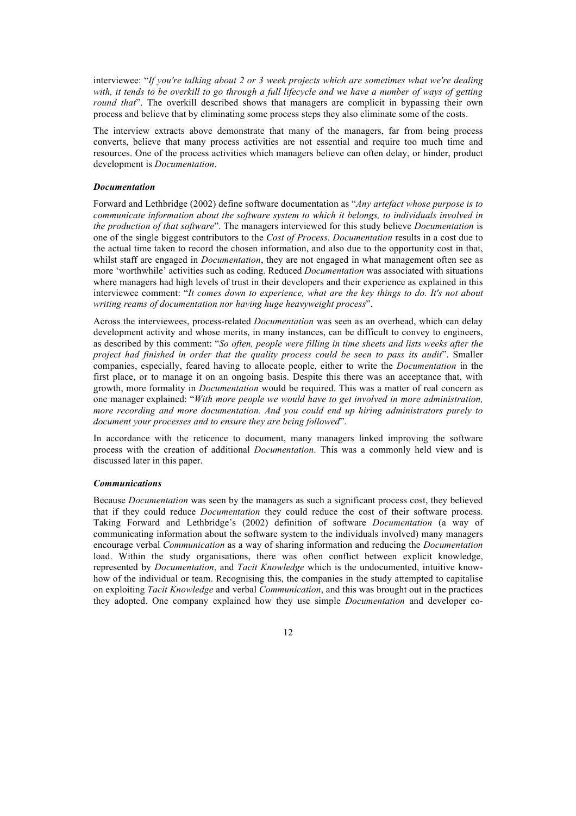interviewee: "*If you're talking about 2 or 3 week projects which are sometimes what we're dealing with, it tends to be overkill to go through a full lifecycle and we have a number of ways of getting round that*". The overkill described shows that managers are complicit in bypassing their own process and believe that by eliminating some process steps they also eliminate some of the costs.

The interview extracts above demonstrate that many of the managers, far from being process converts, believe that many process activities are not essential and require too much time and resources. One of the process activities which managers believe can often delay, or hinder, product development is *Documentation*.

#### *Documentation*

Forward and Lethbridge (2002) define software documentation as "*Any artefact whose purpose is to communicate information about the software system to which it belongs, to individuals involved in the production of that software*". The managers interviewed for this study believe *Documentation* is one of the single biggest contributors to the *Cost of Process*. *Documentation* results in a cost due to the actual time taken to record the chosen information, and also due to the opportunity cost in that, whilst staff are engaged in *Documentation*, they are not engaged in what management often see as more 'worthwhile' activities such as coding. Reduced *Documentation* was associated with situations where managers had high levels of trust in their developers and their experience as explained in this interviewee comment: "*It comes down to experience, what are the key things to do. It's not about writing reams of documentation nor having huge heavyweight process*".

Across the interviewees, process-related *Documentation* was seen as an overhead, which can delay development activity and whose merits, in many instances, can be difficult to convey to engineers, as described by this comment: "*So often, people were filling in time sheets and lists weeks after the project had finished in order that the quality process could be seen to pass its audit*". Smaller companies, especially, feared having to allocate people, either to write the *Documentation* in the first place, or to manage it on an ongoing basis. Despite this there was an acceptance that, with growth, more formality in *Documentation* would be required. This was a matter of real concern as one manager explained: "*With more people we would have to get involved in more administration, more recording and more documentation. And you could end up hiring administrators purely to document your processes and to ensure they are being followed*".

In accordance with the reticence to document, many managers linked improving the software process with the creation of additional *Documentation*. This was a commonly held view and is discussed later in this paper.

#### *Communications*

Because *Documentation* was seen by the managers as such a significant process cost, they believed that if they could reduce *Documentation* they could reduce the cost of their software process. Taking Forward and Lethbridge's (2002) definition of software *Documentation* (a way of communicating information about the software system to the individuals involved) many managers encourage verbal *Communication* as a way of sharing information and reducing the *Documentation*  load. Within the study organisations, there was often conflict between explicit knowledge, represented by *Documentation*, and *Tacit Knowledge* which is the undocumented, intuitive knowhow of the individual or team. Recognising this, the companies in the study attempted to capitalise on exploiting *Tacit Knowledge* and verbal *Communication*, and this was brought out in the practices they adopted. One company explained how they use simple *Documentation* and developer co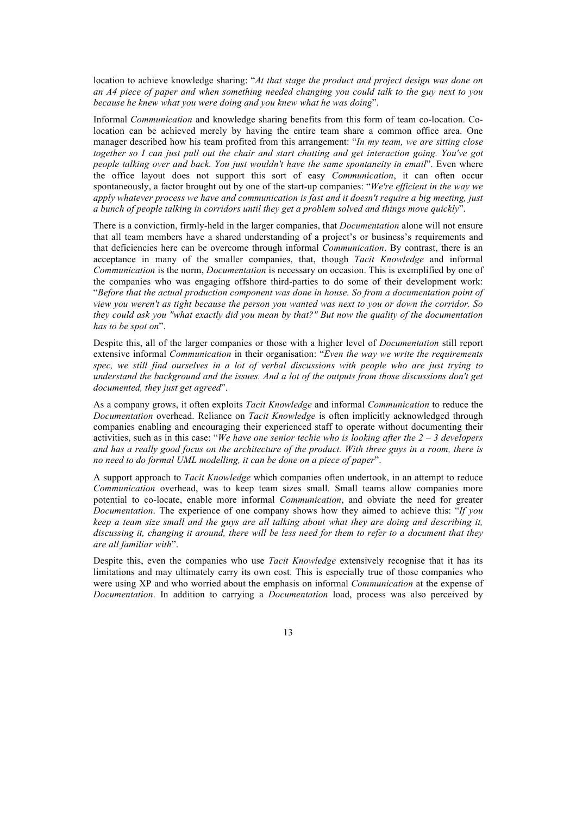location to achieve knowledge sharing: "*At that stage the product and project design was done on an A4 piece of paper and when something needed changing you could talk to the guy next to you because he knew what you were doing and you knew what he was doing*".

Informal *Communication* and knowledge sharing benefits from this form of team co-location. Colocation can be achieved merely by having the entire team share a common office area. One manager described how his team profited from this arrangement: "*In my team, we are sitting close together so I can just pull out the chair and start chatting and get interaction going. You've got people talking over and back. You just wouldn't have the same spontaneity in email*". Even where the office layout does not support this sort of easy *Communication*, it can often occur spontaneously, a factor brought out by one of the start-up companies: "*We're efficient in the way we apply whatever process we have and communication is fast and it doesn't require a big meeting, just a bunch of people talking in corridors until they get a problem solved and things move quickly*".

There is a conviction, firmly-held in the larger companies, that *Documentation* alone will not ensure that all team members have a shared understanding of a project's or business's requirements and that deficiencies here can be overcome through informal *Communication*. By contrast, there is an acceptance in many of the smaller companies, that, though *Tacit Knowledge* and informal *Communication* is the norm, *Documentation* is necessary on occasion. This is exemplified by one of the companies who was engaging offshore third-parties to do some of their development work: "*Before that the actual production component was done in house. So from a documentation point of view you weren't as tight because the person you wanted was next to you or down the corridor. So they could ask you "what exactly did you mean by that?" But now the quality of the documentation has to be spot on*".

Despite this, all of the larger companies or those with a higher level of *Documentation* still report extensive informal *Communication* in their organisation: "*Even the way we write the requirements spec, we still find ourselves in a lot of verbal discussions with people who are just trying to understand the background and the issues. And a lot of the outputs from those discussions don't get documented, they just get agreed*".

As a company grows, it often exploits *Tacit Knowledge* and informal *Communication* to reduce the *Documentation* overhead. Reliance on *Tacit Knowledge* is often implicitly acknowledged through companies enabling and encouraging their experienced staff to operate without documenting their activities, such as in this case: "*We have one senior techie who is looking after the 2 – 3 developers and has a really good focus on the architecture of the product. With three guys in a room, there is no need to do formal UML modelling, it can be done on a piece of paper*".

A support approach to *Tacit Knowledge* which companies often undertook, in an attempt to reduce *Communication* overhead, was to keep team sizes small. Small teams allow companies more potential to co-locate, enable more informal *Communication*, and obviate the need for greater *Documentation*. The experience of one company shows how they aimed to achieve this: "*If you keep a team size small and the guys are all talking about what they are doing and describing it, discussing it, changing it around, there will be less need for them to refer to a document that they are all familiar with*".

Despite this, even the companies who use *Tacit Knowledge* extensively recognise that it has its limitations and may ultimately carry its own cost. This is especially true of those companies who were using XP and who worried about the emphasis on informal *Communication* at the expense of *Documentation*. In addition to carrying a *Documentation* load, process was also perceived by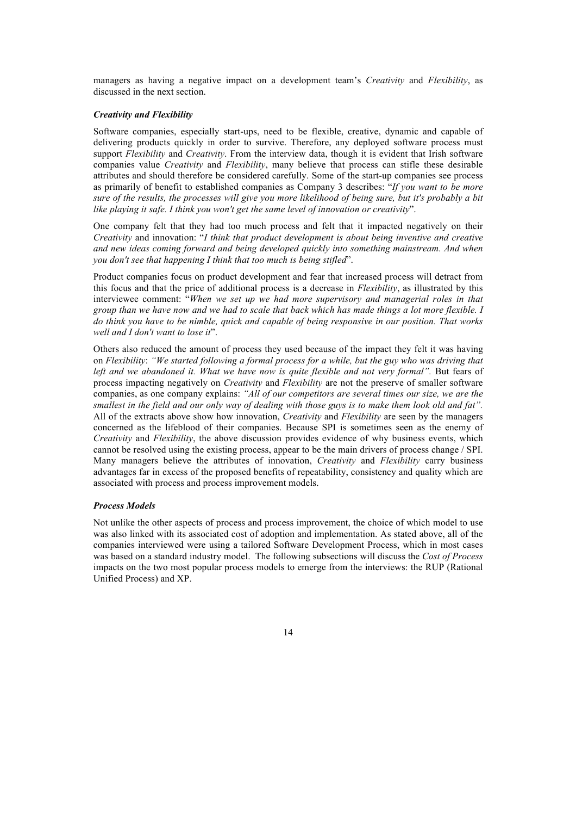managers as having a negative impact on a development team's *Creativity* and *Flexibility*, as discussed in the next section.

#### *Creativity and Flexibility*

Software companies, especially start-ups, need to be flexible, creative, dynamic and capable of delivering products quickly in order to survive. Therefore, any deployed software process must support *Flexibility* and *Creativity*. From the interview data, though it is evident that Irish software companies value *Creativity* and *Flexibility*, many believe that process can stifle these desirable attributes and should therefore be considered carefully. Some of the start-up companies see process as primarily of benefit to established companies as Company 3 describes: "*If you want to be more sure of the results, the processes will give you more likelihood of being sure, but it's probably a bit like playing it safe. I think you won't get the same level of innovation or creativity*".

One company felt that they had too much process and felt that it impacted negatively on their *Creativity* and innovation: "*I think that product development is about being inventive and creative and new ideas coming forward and being developed quickly into something mainstream. And when you don't see that happening I think that too much is being stifled*".

Product companies focus on product development and fear that increased process will detract from this focus and that the price of additional process is a decrease in *Flexibility*, as illustrated by this interviewee comment: "*When we set up we had more supervisory and managerial roles in that group than we have now and we had to scale that back which has made things a lot more flexible. I do think you have to be nimble, quick and capable of being responsive in our position. That works well and I don't want to lose it*".

Others also reduced the amount of process they used because of the impact they felt it was having on *Flexibility*: *"We started following a formal process for a while, but the guy who was driving that*  left and we abandoned it. What we have now is quite flexible and not very formal". But fears of process impacting negatively on *Creativity* and *Flexibility* are not the preserve of smaller software companies, as one company explains: *"All of our competitors are several times our size, we are the smallest in the field and our only way of dealing with those guys is to make them look old and fat".*  All of the extracts above show how innovation, *Creativity* and *Flexibility* are seen by the managers concerned as the lifeblood of their companies. Because SPI is sometimes seen as the enemy of *Creativity* and *Flexibility*, the above discussion provides evidence of why business events, which cannot be resolved using the existing process, appear to be the main drivers of process change / SPI. Many managers believe the attributes of innovation, *Creativity* and *Flexibility* carry business advantages far in excess of the proposed benefits of repeatability, consistency and quality which are associated with process and process improvement models.

#### *Process Models*

Not unlike the other aspects of process and process improvement, the choice of which model to use was also linked with its associated cost of adoption and implementation. As stated above, all of the companies interviewed were using a tailored Software Development Process, which in most cases was based on a standard industry model. The following subsections will discuss the *Cost of Process* impacts on the two most popular process models to emerge from the interviews: the RUP (Rational Unified Process) and XP.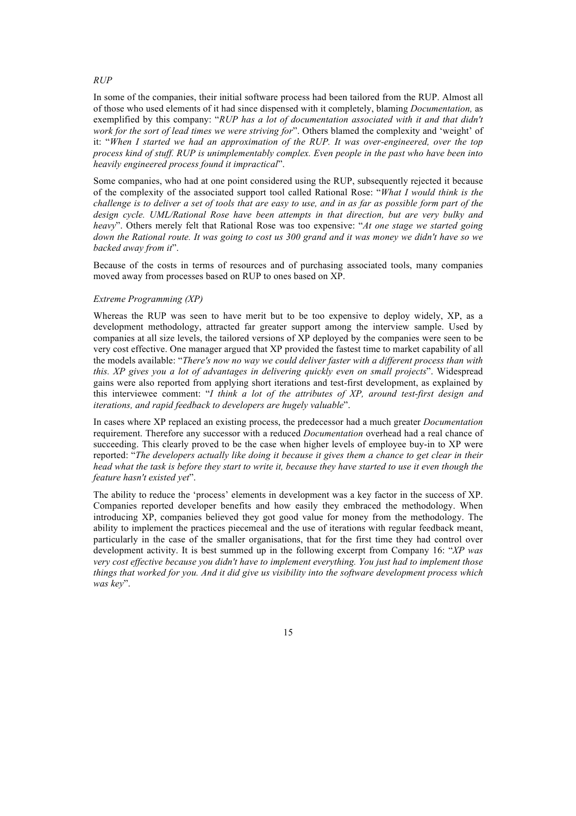# *RUP*

In some of the companies, their initial software process had been tailored from the RUP. Almost all of those who used elements of it had since dispensed with it completely, blaming *Documentation,* as exemplified by this company: "*RUP has a lot of documentation associated with it and that didn't work for the sort of lead times we were striving for*". Others blamed the complexity and 'weight' of it: "*When I started we had an approximation of the RUP. It was over-engineered, over the top process kind of stuff. RUP is unimplementably complex. Even people in the past who have been into heavily engineered process found it impractical*".

Some companies, who had at one point considered using the RUP, subsequently rejected it because of the complexity of the associated support tool called Rational Rose: "*What I would think is the challenge is to deliver a set of tools that are easy to use, and in as far as possible form part of the design cycle. UML/Rational Rose have been attempts in that direction, but are very bulky and heavy*". Others merely felt that Rational Rose was too expensive: "*At one stage we started going down the Rational route. It was going to cost us 300 grand and it was money we didn't have so we backed away from it*".

Because of the costs in terms of resources and of purchasing associated tools, many companies moved away from processes based on RUP to ones based on XP.

#### *Extreme Programming (XP)*

Whereas the RUP was seen to have merit but to be too expensive to deploy widely, XP, as a development methodology, attracted far greater support among the interview sample. Used by companies at all size levels, the tailored versions of XP deployed by the companies were seen to be very cost effective. One manager argued that XP provided the fastest time to market capability of all the models available: "*There's now no way we could deliver faster with a different process than with this. XP gives you a lot of advantages in delivering quickly even on small projects*". Widespread gains were also reported from applying short iterations and test-first development, as explained by this interviewee comment: "*I think a lot of the attributes of XP, around test-first design and iterations, and rapid feedback to developers are hugely valuable*".

In cases where XP replaced an existing process, the predecessor had a much greater *Documentation*  requirement. Therefore any successor with a reduced *Documentation* overhead had a real chance of succeeding. This clearly proved to be the case when higher levels of employee buy-in to XP were reported: "*The developers actually like doing it because it gives them a chance to get clear in their head what the task is before they start to write it, because they have started to use it even though the feature hasn't existed yet*".

The ability to reduce the 'process' elements in development was a key factor in the success of XP. Companies reported developer benefits and how easily they embraced the methodology. When introducing XP, companies believed they got good value for money from the methodology. The ability to implement the practices piecemeal and the use of iterations with regular feedback meant, particularly in the case of the smaller organisations, that for the first time they had control over development activity. It is best summed up in the following excerpt from Company 16: "*XP was very cost effective because you didn't have to implement everything. You just had to implement those things that worked for you. And it did give us visibility into the software development process which was key*".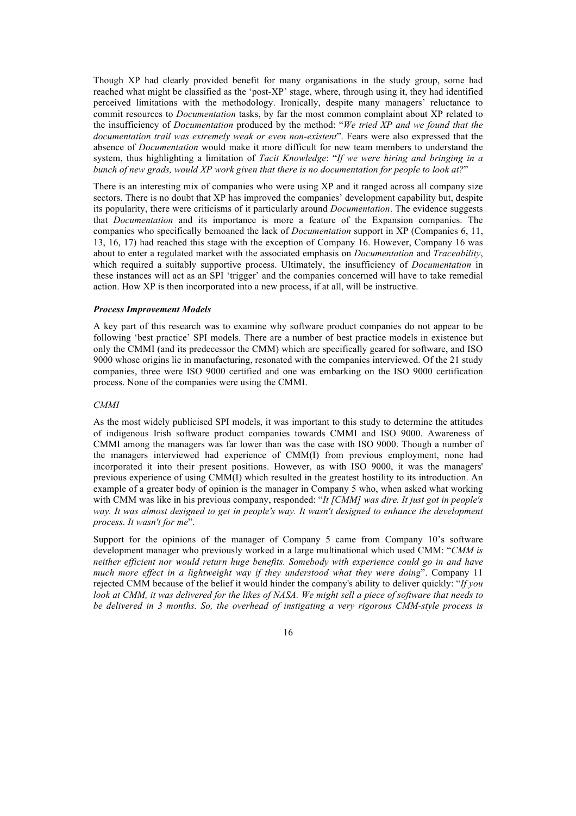Though XP had clearly provided benefit for many organisations in the study group, some had reached what might be classified as the 'post-XP' stage, where, through using it, they had identified perceived limitations with the methodology. Ironically, despite many managers' reluctance to commit resources to *Documentation* tasks, by far the most common complaint about XP related to the insufficiency of *Documentation* produced by the method: "*We tried XP and we found that the documentation trail was extremely weak or even non-existent*". Fears were also expressed that the absence of *Documentation* would make it more difficult for new team members to understand the system, thus highlighting a limitation of *Tacit Knowledge*: "*If we were hiring and bringing in a bunch of new grads, would XP work given that there is no documentation for people to look at?*"

There is an interesting mix of companies who were using XP and it ranged across all company size sectors. There is no doubt that XP has improved the companies' development capability but, despite its popularity, there were criticisms of it particularly around *Documentation*. The evidence suggests that *Documentation* and its importance is more a feature of the Expansion companies. The companies who specifically bemoaned the lack of *Documentation* support in XP (Companies 6, 11, 13, 16, 17) had reached this stage with the exception of Company 16. However, Company 16 was about to enter a regulated market with the associated emphasis on *Documentation* and *Traceability*, which required a suitably supportive process. Ultimately, the insufficiency of *Documentation* in these instances will act as an SPI 'trigger' and the companies concerned will have to take remedial action. How XP is then incorporated into a new process, if at all, will be instructive.

#### *Process Improvement Models*

A key part of this research was to examine why software product companies do not appear to be following 'best practice' SPI models. There are a number of best practice models in existence but only the CMMI (and its predecessor the CMM) which are specifically geared for software, and ISO 9000 whose origins lie in manufacturing, resonated with the companies interviewed. Of the 21 study companies, three were ISO 9000 certified and one was embarking on the ISO 9000 certification process. None of the companies were using the CMMI.

#### *CMMI*

As the most widely publicised SPI models, it was important to this study to determine the attitudes of indigenous Irish software product companies towards CMMI and ISO 9000. Awareness of CMMI among the managers was far lower than was the case with ISO 9000. Though a number of the managers interviewed had experience of CMM(I) from previous employment, none had incorporated it into their present positions. However, as with ISO 9000, it was the managers' previous experience of using CMM(I) which resulted in the greatest hostility to its introduction. An example of a greater body of opinion is the manager in Company 5 who, when asked what working with CMM was like in his previous company, responded: "*It [CMM] was dire. It just got in people's way. It was almost designed to get in people's way. It wasn't designed to enhance the development process. It wasn't for me*".

Support for the opinions of the manager of Company 5 came from Company 10's software development manager who previously worked in a large multinational which used CMM: "*CMM is neither efficient nor would return huge benefits. Somebody with experience could go in and have much more effect in a lightweight way if they understood what they were doing*". Company 11 rejected CMM because of the belief it would hinder the company's ability to deliver quickly: "*If you look at CMM, it was delivered for the likes of NASA. We might sell a piece of software that needs to be delivered in 3 months. So, the overhead of instigating a very rigorous CMM-style process is*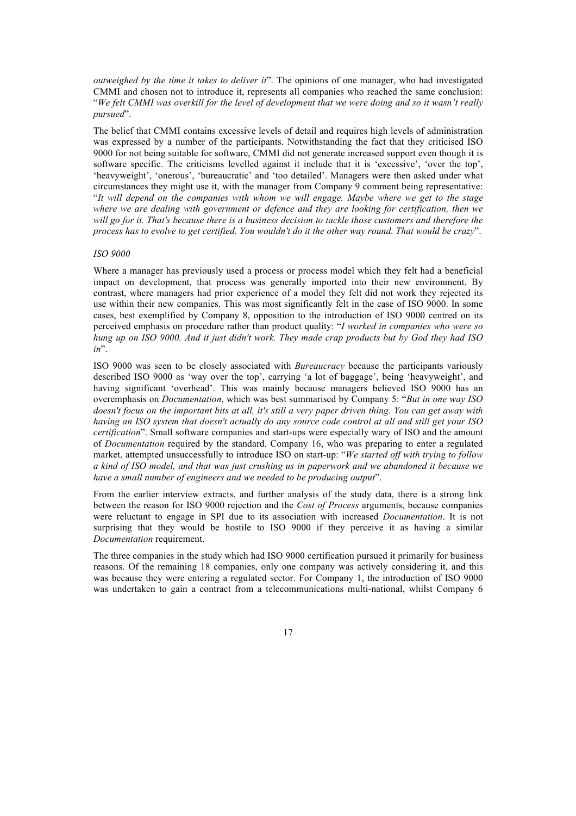*outweighed by the time it takes to deliver it*". The opinions of one manager, who had investigated CMMI and chosen not to introduce it, represents all companies who reached the same conclusion: "*We felt CMMI was overkill for the level of development that we were doing and so it wasn't really pursued*".

The belief that CMMI contains excessive levels of detail and requires high levels of administration was expressed by a number of the participants. Notwithstanding the fact that they criticised ISO 9000 for not being suitable for software, CMMI did not generate increased support even though it is software specific. The criticisms levelled against it include that it is 'excessive', 'over the top', 'heavyweight', 'onerous', 'bureaucratic' and 'too detailed'. Managers were then asked under what circumstances they might use it, with the manager from Company 9 comment being representative: "*It will depend on the companies with whom we will engage. Maybe where we get to the stage where we are dealing with government or defence and they are looking for certification, then we will go for it. That's because there is a business decision to tackle those customers and therefore the process has to evolve to get certified. You wouldn't do it the other way round. That would be crazy*".

### *ISO 9000*

Where a manager has previously used a process or process model which they felt had a beneficial impact on development, that process was generally imported into their new environment. By contrast, where managers had prior experience of a model they felt did not work they rejected its use within their new companies. This was most significantly felt in the case of ISO 9000. In some cases, best exemplified by Company 8, opposition to the introduction of ISO 9000 centred on its perceived emphasis on procedure rather than product quality: "*I worked in companies who were so hung up on ISO 9000. And it just didn't work. They made crap products but by God they had ISO in*".

ISO 9000 was seen to be closely associated with *Bureaucracy* because the participants variously described ISO 9000 as 'way over the top', carrying 'a lot of baggage', being 'heavyweight', and having significant 'overhead'. This was mainly because managers believed ISO 9000 has an overemphasis on *Documentation*, which was best summarised by Company 5: "*But in one way ISO doesn't focus on the important bits at all, it's still a very paper driven thing. You can get away with having an ISO system that doesn't actually do any source code control at all and still get your ISO certification*". Small software companies and start-ups were especially wary of ISO and the amount of *Documentation* required by the standard. Company 16, who was preparing to enter a regulated market, attempted unsuccessfully to introduce ISO on start-up: "*We started off with trying to follow a kind of ISO model, and that was just crushing us in paperwork and we abandoned it because we have a small number of engineers and we needed to be producing output*".

From the earlier interview extracts, and further analysis of the study data, there is a strong link between the reason for ISO 9000 rejection and the *Cost of Process* arguments, because companies were reluctant to engage in SPI due to its association with increased *Documentation*. It is not surprising that they would be hostile to ISO 9000 if they perceive it as having a similar *Documentation* requirement.

The three companies in the study which had ISO 9000 certification pursued it primarily for business reasons. Of the remaining 18 companies, only one company was actively considering it, and this was because they were entering a regulated sector. For Company 1, the introduction of ISO 9000 was undertaken to gain a contract from a telecommunications multi-national, whilst Company 6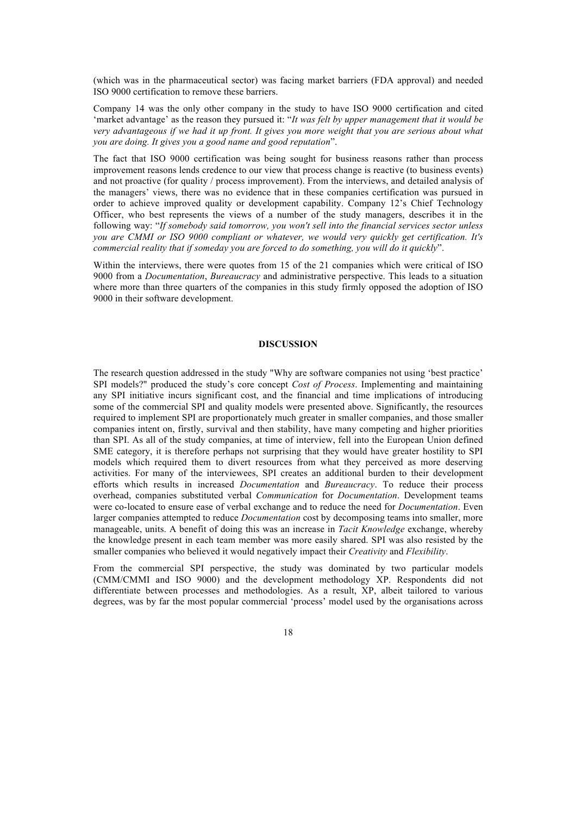(which was in the pharmaceutical sector) was facing market barriers (FDA approval) and needed ISO 9000 certification to remove these barriers.

Company 14 was the only other company in the study to have ISO 9000 certification and cited 'market advantage' as the reason they pursued it: "*It was felt by upper management that it would be very advantageous if we had it up front. It gives you more weight that you are serious about what you are doing. It gives you a good name and good reputation*".

The fact that ISO 9000 certification was being sought for business reasons rather than process improvement reasons lends credence to our view that process change is reactive (to business events) and not proactive (for quality / process improvement). From the interviews, and detailed analysis of the managers' views, there was no evidence that in these companies certification was pursued in order to achieve improved quality or development capability. Company 12's Chief Technology Officer, who best represents the views of a number of the study managers, describes it in the following way: "*If somebody said tomorrow, you won't sell into the financial services sector unless you are CMMI or ISO 9000 compliant or whatever, we would very quickly get certification. It's commercial reality that if someday you are forced to do something, you will do it quickly*".

Within the interviews, there were quotes from 15 of the 21 companies which were critical of ISO 9000 from a *Documentation*, *Bureaucracy* and administrative perspective. This leads to a situation where more than three quarters of the companies in this study firmly opposed the adoption of ISO 9000 in their software development.

### **DISCUSSION**

The research question addressed in the study "Why are software companies not using 'best practice' SPI models?" produced the study's core concept *Cost of Process*. Implementing and maintaining any SPI initiative incurs significant cost, and the financial and time implications of introducing some of the commercial SPI and quality models were presented above. Significantly, the resources required to implement SPI are proportionately much greater in smaller companies, and those smaller companies intent on, firstly, survival and then stability, have many competing and higher priorities than SPI. As all of the study companies, at time of interview, fell into the European Union defined SME category, it is therefore perhaps not surprising that they would have greater hostility to SPI models which required them to divert resources from what they perceived as more deserving activities. For many of the interviewees, SPI creates an additional burden to their development efforts which results in increased *Documentation* and *Bureaucracy*. To reduce their process overhead, companies substituted verbal *Communication* for *Documentation*. Development teams were co-located to ensure ease of verbal exchange and to reduce the need for *Documentation*. Even larger companies attempted to reduce *Documentation* cost by decomposing teams into smaller, more manageable, units. A benefit of doing this was an increase in *Tacit Knowledge* exchange, whereby the knowledge present in each team member was more easily shared. SPI was also resisted by the smaller companies who believed it would negatively impact their *Creativity* and *Flexibility*.

From the commercial SPI perspective, the study was dominated by two particular models (CMM/CMMI and ISO 9000) and the development methodology XP. Respondents did not differentiate between processes and methodologies. As a result, XP, albeit tailored to various degrees, was by far the most popular commercial 'process' model used by the organisations across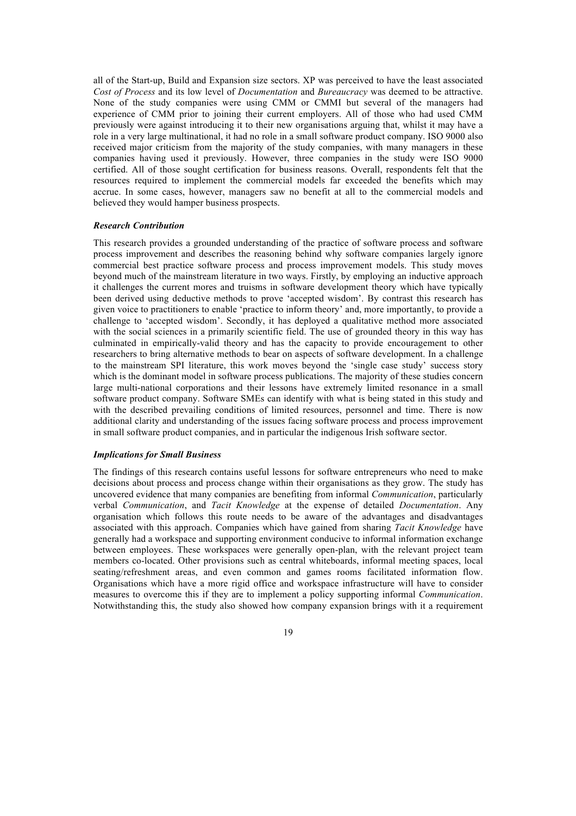all of the Start-up, Build and Expansion size sectors. XP was perceived to have the least associated *Cost of Process* and its low level of *Documentation* and *Bureaucracy* was deemed to be attractive. None of the study companies were using CMM or CMMI but several of the managers had experience of CMM prior to joining their current employers. All of those who had used CMM previously were against introducing it to their new organisations arguing that, whilst it may have a role in a very large multinational, it had no role in a small software product company. ISO 9000 also received major criticism from the majority of the study companies, with many managers in these companies having used it previously. However, three companies in the study were ISO 9000 certified. All of those sought certification for business reasons. Overall, respondents felt that the resources required to implement the commercial models far exceeded the benefits which may accrue. In some cases, however, managers saw no benefit at all to the commercial models and believed they would hamper business prospects.

#### *Research Contribution*

This research provides a grounded understanding of the practice of software process and software process improvement and describes the reasoning behind why software companies largely ignore commercial best practice software process and process improvement models. This study moves beyond much of the mainstream literature in two ways. Firstly, by employing an inductive approach it challenges the current mores and truisms in software development theory which have typically been derived using deductive methods to prove 'accepted wisdom'. By contrast this research has given voice to practitioners to enable 'practice to inform theory' and, more importantly, to provide a challenge to 'accepted wisdom'. Secondly, it has deployed a qualitative method more associated with the social sciences in a primarily scientific field. The use of grounded theory in this way has culminated in empirically-valid theory and has the capacity to provide encouragement to other researchers to bring alternative methods to bear on aspects of software development. In a challenge to the mainstream SPI literature, this work moves beyond the 'single case study' success story which is the dominant model in software process publications. The majority of these studies concern large multi-national corporations and their lessons have extremely limited resonance in a small software product company. Software SMEs can identify with what is being stated in this study and with the described prevailing conditions of limited resources, personnel and time. There is now additional clarity and understanding of the issues facing software process and process improvement in small software product companies, and in particular the indigenous Irish software sector.

### *Implications for Small Business*

The findings of this research contains useful lessons for software entrepreneurs who need to make decisions about process and process change within their organisations as they grow. The study has uncovered evidence that many companies are benefiting from informal *Communication*, particularly verbal *Communication*, and *Tacit Knowledge* at the expense of detailed *Documentation*. Any organisation which follows this route needs to be aware of the advantages and disadvantages associated with this approach. Companies which have gained from sharing *Tacit Knowledge* have generally had a workspace and supporting environment conducive to informal information exchange between employees. These workspaces were generally open-plan, with the relevant project team members co-located. Other provisions such as central whiteboards, informal meeting spaces, local seating/refreshment areas, and even common and games rooms facilitated information flow. Organisations which have a more rigid office and workspace infrastructure will have to consider measures to overcome this if they are to implement a policy supporting informal *Communication*. Notwithstanding this, the study also showed how company expansion brings with it a requirement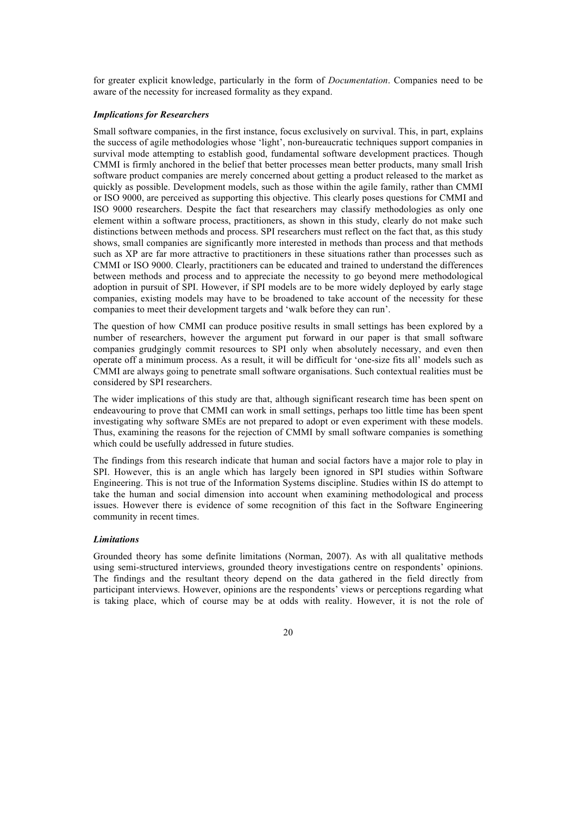for greater explicit knowledge, particularly in the form of *Documentation*. Companies need to be aware of the necessity for increased formality as they expand.

### *Implications for Researchers*

Small software companies, in the first instance, focus exclusively on survival. This, in part, explains the success of agile methodologies whose 'light', non-bureaucratic techniques support companies in survival mode attempting to establish good, fundamental software development practices. Though CMMI is firmly anchored in the belief that better processes mean better products, many small Irish software product companies are merely concerned about getting a product released to the market as quickly as possible. Development models, such as those within the agile family, rather than CMMI or ISO 9000, are perceived as supporting this objective. This clearly poses questions for CMMI and ISO 9000 researchers. Despite the fact that researchers may classify methodologies as only one element within a software process, practitioners, as shown in this study, clearly do not make such distinctions between methods and process. SPI researchers must reflect on the fact that, as this study shows, small companies are significantly more interested in methods than process and that methods such as XP are far more attractive to practitioners in these situations rather than processes such as CMMI or ISO 9000. Clearly, practitioners can be educated and trained to understand the differences between methods and process and to appreciate the necessity to go beyond mere methodological adoption in pursuit of SPI. However, if SPI models are to be more widely deployed by early stage companies, existing models may have to be broadened to take account of the necessity for these companies to meet their development targets and 'walk before they can run'.

The question of how CMMI can produce positive results in small settings has been explored by a number of researchers, however the argument put forward in our paper is that small software companies grudgingly commit resources to SPI only when absolutely necessary, and even then operate off a minimum process. As a result, it will be difficult for 'one-size fits all' models such as CMMI are always going to penetrate small software organisations. Such contextual realities must be considered by SPI researchers.

The wider implications of this study are that, although significant research time has been spent on endeavouring to prove that CMMI can work in small settings, perhaps too little time has been spent investigating why software SMEs are not prepared to adopt or even experiment with these models. Thus, examining the reasons for the rejection of CMMI by small software companies is something which could be usefully addressed in future studies.

The findings from this research indicate that human and social factors have a major role to play in SPI. However, this is an angle which has largely been ignored in SPI studies within Software Engineering. This is not true of the Information Systems discipline. Studies within IS do attempt to take the human and social dimension into account when examining methodological and process issues. However there is evidence of some recognition of this fact in the Software Engineering community in recent times.

### *Limitations*

Grounded theory has some definite limitations (Norman, 2007). As with all qualitative methods using semi-structured interviews, grounded theory investigations centre on respondents' opinions. The findings and the resultant theory depend on the data gathered in the field directly from participant interviews. However, opinions are the respondents' views or perceptions regarding what is taking place, which of course may be at odds with reality. However, it is not the role of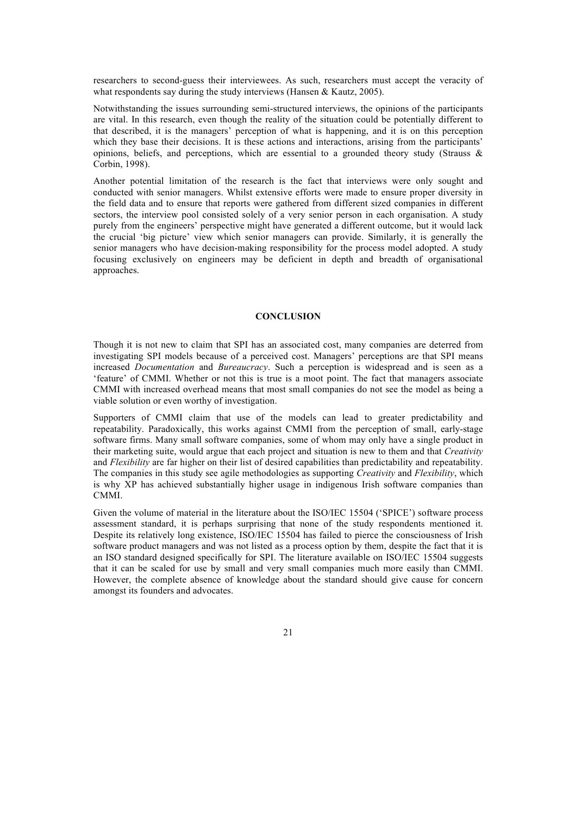researchers to second-guess their interviewees. As such, researchers must accept the veracity of what respondents say during the study interviews (Hansen & Kautz, 2005).

Notwithstanding the issues surrounding semi-structured interviews, the opinions of the participants are vital. In this research, even though the reality of the situation could be potentially different to that described, it is the managers' perception of what is happening, and it is on this perception which they base their decisions. It is these actions and interactions, arising from the participants' opinions, beliefs, and perceptions, which are essential to a grounded theory study (Strauss  $\&$ Corbin, 1998).

Another potential limitation of the research is the fact that interviews were only sought and conducted with senior managers. Whilst extensive efforts were made to ensure proper diversity in the field data and to ensure that reports were gathered from different sized companies in different sectors, the interview pool consisted solely of a very senior person in each organisation. A study purely from the engineers' perspective might have generated a different outcome, but it would lack the crucial 'big picture' view which senior managers can provide. Similarly, it is generally the senior managers who have decision-making responsibility for the process model adopted. A study focusing exclusively on engineers may be deficient in depth and breadth of organisational approaches.

### **CONCLUSION**

Though it is not new to claim that SPI has an associated cost, many companies are deterred from investigating SPI models because of a perceived cost. Managers' perceptions are that SPI means increased *Documentation* and *Bureaucracy*. Such a perception is widespread and is seen as a 'feature' of CMMI. Whether or not this is true is a moot point. The fact that managers associate CMMI with increased overhead means that most small companies do not see the model as being a viable solution or even worthy of investigation.

Supporters of CMMI claim that use of the models can lead to greater predictability and repeatability. Paradoxically, this works against CMMI from the perception of small, early-stage software firms. Many small software companies, some of whom may only have a single product in their marketing suite, would argue that each project and situation is new to them and that *Creativity* and *Flexibility* are far higher on their list of desired capabilities than predictability and repeatability. The companies in this study see agile methodologies as supporting *Creativity* and *Flexibility*, which is why XP has achieved substantially higher usage in indigenous Irish software companies than **CMMI** 

Given the volume of material in the literature about the ISO/IEC 15504 ('SPICE') software process assessment standard, it is perhaps surprising that none of the study respondents mentioned it. Despite its relatively long existence, ISO/IEC 15504 has failed to pierce the consciousness of Irish software product managers and was not listed as a process option by them, despite the fact that it is an ISO standard designed specifically for SPI. The literature available on ISO/IEC 15504 suggests that it can be scaled for use by small and very small companies much more easily than CMMI. However, the complete absence of knowledge about the standard should give cause for concern amongst its founders and advocates.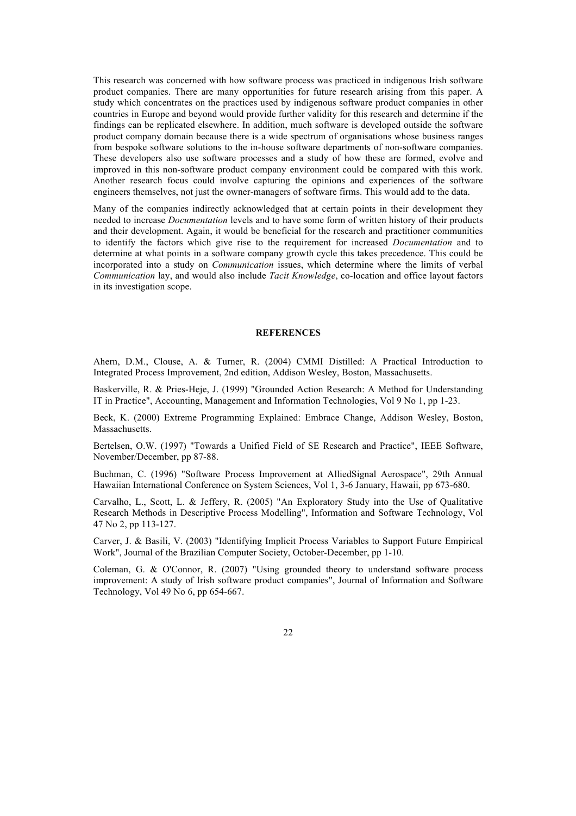This research was concerned with how software process was practiced in indigenous Irish software product companies. There are many opportunities for future research arising from this paper. A study which concentrates on the practices used by indigenous software product companies in other countries in Europe and beyond would provide further validity for this research and determine if the findings can be replicated elsewhere. In addition, much software is developed outside the software product company domain because there is a wide spectrum of organisations whose business ranges from bespoke software solutions to the in-house software departments of non-software companies. These developers also use software processes and a study of how these are formed, evolve and improved in this non-software product company environment could be compared with this work. Another research focus could involve capturing the opinions and experiences of the software engineers themselves, not just the owner-managers of software firms. This would add to the data.

Many of the companies indirectly acknowledged that at certain points in their development they needed to increase *Documentation* levels and to have some form of written history of their products and their development. Again, it would be beneficial for the research and practitioner communities to identify the factors which give rise to the requirement for increased *Documentation* and to determine at what points in a software company growth cycle this takes precedence. This could be incorporated into a study on *Communication* issues, which determine where the limits of verbal *Communication* lay, and would also include *Tacit Knowledge*, co-location and office layout factors in its investigation scope.

#### **REFERENCES**

Ahern, D.M., Clouse, A. & Turner, R. (2004) CMMI Distilled: A Practical Introduction to Integrated Process Improvement, 2nd edition, Addison Wesley, Boston, Massachusetts.

Baskerville, R. & Pries-Heje, J. (1999) "Grounded Action Research: A Method for Understanding IT in Practice", Accounting, Management and Information Technologies, Vol 9 No 1, pp 1-23.

Beck, K. (2000) Extreme Programming Explained: Embrace Change, Addison Wesley, Boston, Massachusetts.

Bertelsen, O.W. (1997) "Towards a Unified Field of SE Research and Practice", IEEE Software, November/December, pp 87-88.

Buchman, C. (1996) "Software Process Improvement at AlliedSignal Aerospace", 29th Annual Hawaiian International Conference on System Sciences, Vol 1, 3-6 January, Hawaii, pp 673-680.

Carvalho, L., Scott, L. & Jeffery, R. (2005) "An Exploratory Study into the Use of Qualitative Research Methods in Descriptive Process Modelling", Information and Software Technology, Vol 47 No 2, pp 113-127.

Carver, J. & Basili, V. (2003) "Identifying Implicit Process Variables to Support Future Empirical Work", Journal of the Brazilian Computer Society, October-December, pp 1-10.

Coleman, G. & O'Connor, R. (2007) "Using grounded theory to understand software process improvement: A study of Irish software product companies", Journal of Information and Software Technology, Vol 49 No 6, pp 654-667.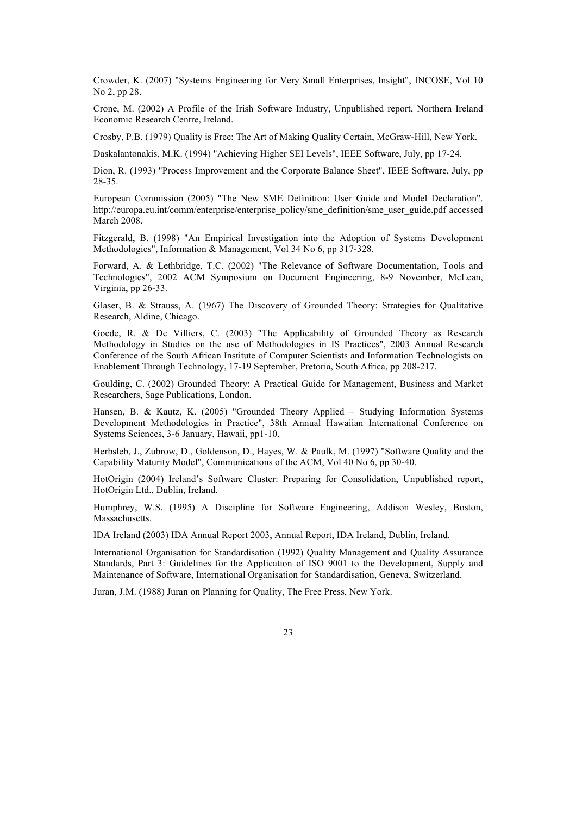Crowder, K. (2007) "Systems Engineering for Very Small Enterprises, Insight", INCOSE, Vol 10 No 2, pp 28.

Crone, M. (2002) A Profile of the Irish Software Industry, Unpublished report, Northern Ireland Economic Research Centre, Ireland.

Crosby, P.B. (1979) Quality is Free: The Art of Making Quality Certain, McGraw-Hill, New York.

Daskalantonakis, M.K. (1994) "Achieving Higher SEI Levels", IEEE Software, July, pp 17-24.

Dion, R. (1993) "Process Improvement and the Corporate Balance Sheet", IEEE Software, July, pp 28-35.

European Commission (2005) "The New SME Definition: User Guide and Model Declaration". http://europa.eu.int/comm/enterprise/enterprise\_policy/sme\_definition/sme\_user\_guide.pdf accessed March 2008

Fitzgerald, B. (1998) "An Empirical Investigation into the Adoption of Systems Development Methodologies", Information & Management, Vol 34 No 6, pp 317-328.

Forward, A. & Lethbridge, T.C. (2002) "The Relevance of Software Documentation, Tools and Technologies", 2002 ACM Symposium on Document Engineering, 8-9 November, McLean, Virginia, pp 26-33.

Glaser, B. & Strauss, A. (1967) The Discovery of Grounded Theory: Strategies for Qualitative Research, Aldine, Chicago.

Goede, R. & De Villiers, C. (2003) "The Applicability of Grounded Theory as Research Methodology in Studies on the use of Methodologies in IS Practices", 2003 Annual Research Conference of the South African Institute of Computer Scientists and Information Technologists on Enablement Through Technology, 17-19 September, Pretoria, South Africa, pp 208-217.

Goulding, C. (2002) Grounded Theory: A Practical Guide for Management, Business and Market Researchers, Sage Publications, London.

Hansen, B. & Kautz, K. (2005) "Grounded Theory Applied – Studying Information Systems Development Methodologies in Practice", 38th Annual Hawaiian International Conference on Systems Sciences, 3-6 January, Hawaii, pp1-10.

Herbsleb, J., Zubrow, D., Goldenson, D., Hayes, W. & Paulk, M. (1997) "Software Quality and the Capability Maturity Model", Communications of the ACM, Vol 40 No 6, pp 30-40.

HotOrigin (2004) Ireland's Software Cluster: Preparing for Consolidation, Unpublished report, HotOrigin Ltd., Dublin, Ireland.

Humphrey, W.S. (1995) A Discipline for Software Engineering, Addison Wesley, Boston, Massachusetts.

IDA Ireland (2003) IDA Annual Report 2003, Annual Report, IDA Ireland, Dublin, Ireland.

International Organisation for Standardisation (1992) Quality Management and Quality Assurance Standards, Part 3: Guidelines for the Application of ISO 9001 to the Development, Supply and Maintenance of Software, International Organisation for Standardisation, Geneva, Switzerland.

Juran, J.M. (1988) Juran on Planning for Quality, The Free Press, New York.